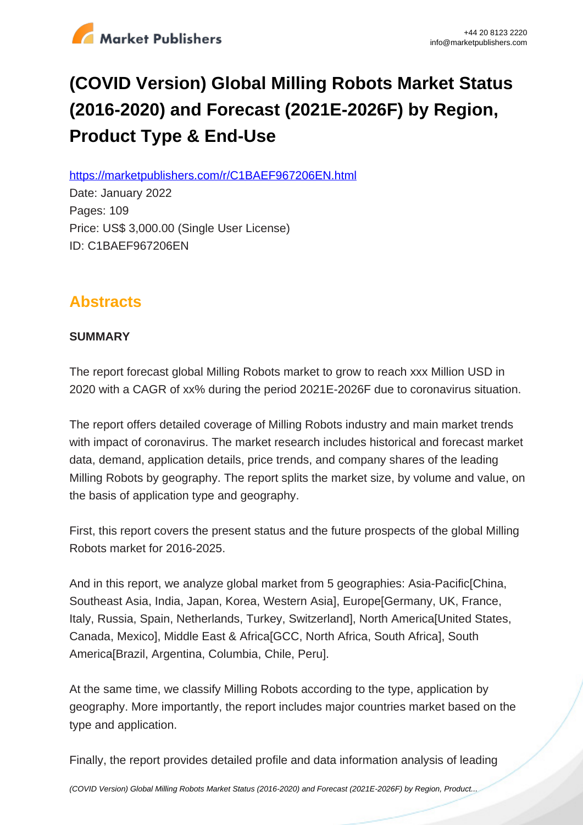

# **(COVID Version) Global Milling Robots Market Status (2016-2020) and Forecast (2021E-2026F) by Region, Product Type & End-Use**

https://marketpublishers.com/r/C1BAEF967206EN.html

Date: January 2022 Pages: 109 Price: US\$ 3,000.00 (Single User License) ID: C1BAEF967206EN

# **Abstracts**

#### **SUMMARY**

The report forecast global Milling Robots market to grow to reach xxx Million USD in 2020 with a CAGR of xx% during the period 2021E-2026F due to coronavirus situation.

The report offers detailed coverage of Milling Robots industry and main market trends with impact of coronavirus. The market research includes historical and forecast market data, demand, application details, price trends, and company shares of the leading Milling Robots by geography. The report splits the market size, by volume and value, on the basis of application type and geography.

First, this report covers the present status and the future prospects of the global Milling Robots market for 2016-2025.

And in this report, we analyze global market from 5 geographies: Asia-Pacific[China, Southeast Asia, India, Japan, Korea, Western Asia], Europe[Germany, UK, France, Italy, Russia, Spain, Netherlands, Turkey, Switzerland], North America[United States, Canada, Mexico], Middle East & Africa[GCC, North Africa, South Africa], South America[Brazil, Argentina, Columbia, Chile, Peru].

At the same time, we classify Milling Robots according to the type, application by geography. More importantly, the report includes major countries market based on the type and application.

Finally, the report provides detailed profile and data information analysis of leading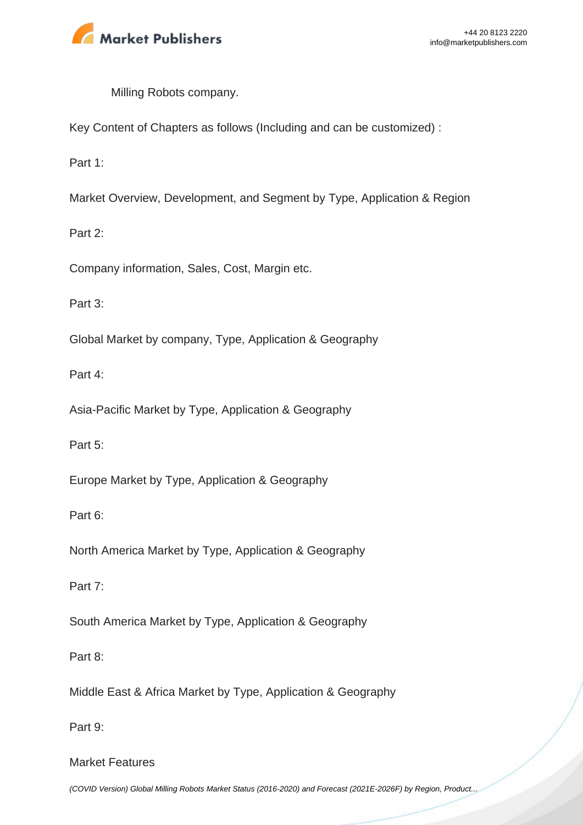

Milling Robots company.

Key Content of Chapters as follows (Including and can be customized) :

Part 1:

Market Overview, Development, and Segment by Type, Application & Region

Part 2:

Company information, Sales, Cost, Margin etc.

Part 3:

Global Market by company, Type, Application & Geography

Part 4:

Asia-Pacific Market by Type, Application & Geography

Part 5:

Europe Market by Type, Application & Geography

Part 6:

North America Market by Type, Application & Geography

Part 7:

South America Market by Type, Application & Geography

Part 8:

Middle East & Africa Market by Type, Application & Geography

Part 9:

Market Features

[\(COVID Version\) Global Milling Robots Market Status \(2016-2020\) and Forecast \(2021E-2026F\) by Region, Product...](https://marketpublishers.com/report/industry/other_industries/covid-version-global-milling-robots-market-status-2016-2020-n-forecast-2021e-2026f-by-region-product-type-end-use.html)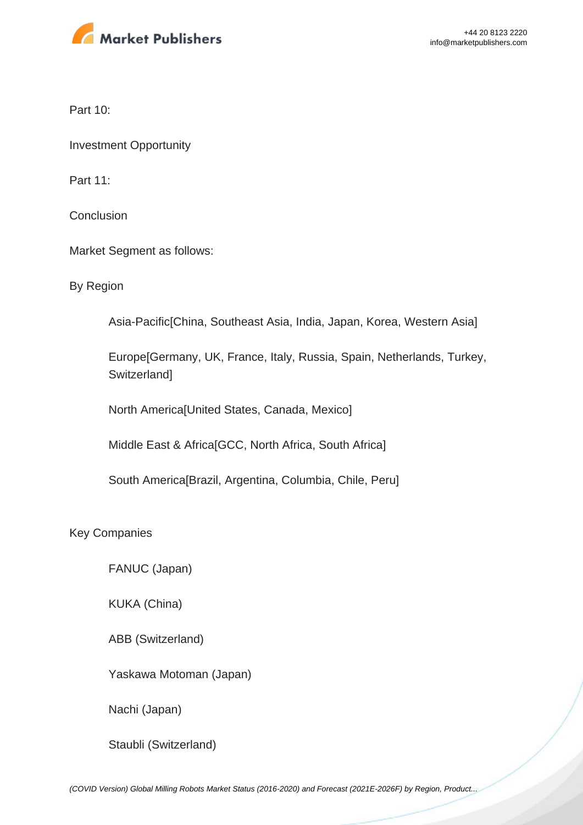

Part 10:

Investment Opportunity

Part 11:

**Conclusion** 

Market Segment as follows:

By Region

Asia-Pacific[China, Southeast Asia, India, Japan, Korea, Western Asia]

Europe[Germany, UK, France, Italy, Russia, Spain, Netherlands, Turkey, **Switzerland1** 

North America[United States, Canada, Mexico]

Middle East & Africa[GCC, North Africa, South Africa]

South America[Brazil, Argentina, Columbia, Chile, Peru]

Key Companies

FANUC (Japan)

KUKA (China)

ABB (Switzerland)

Yaskawa Motoman (Japan)

Nachi (Japan)

Staubli (Switzerland)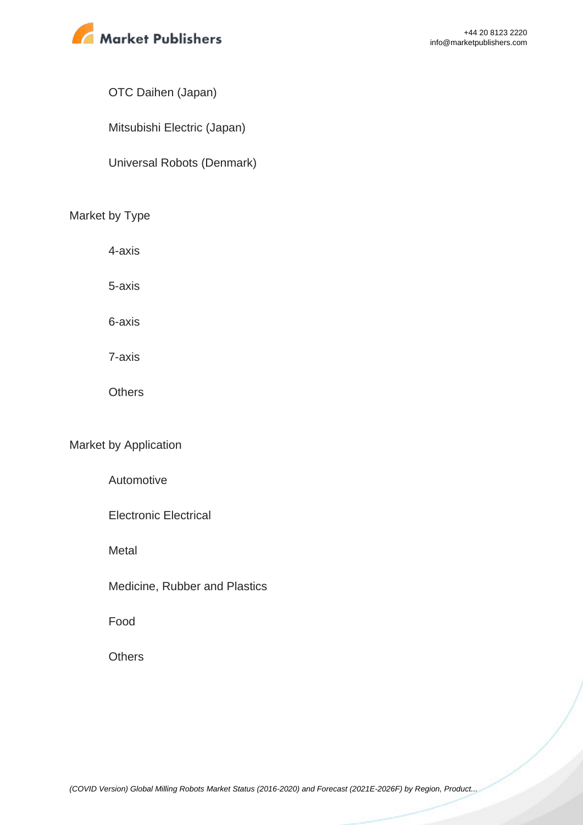

#### OTC Daihen (Japan)

Mitsubishi Electric (Japan)

Universal Robots (Denmark)

#### Market by Type

4-axis

5-axis

6-axis

7-axis

**Others** 

#### Market by Application

Automotive

Electronic Electrical

**Metal** 

Medicine, Rubber and Plastics

Food

**Others**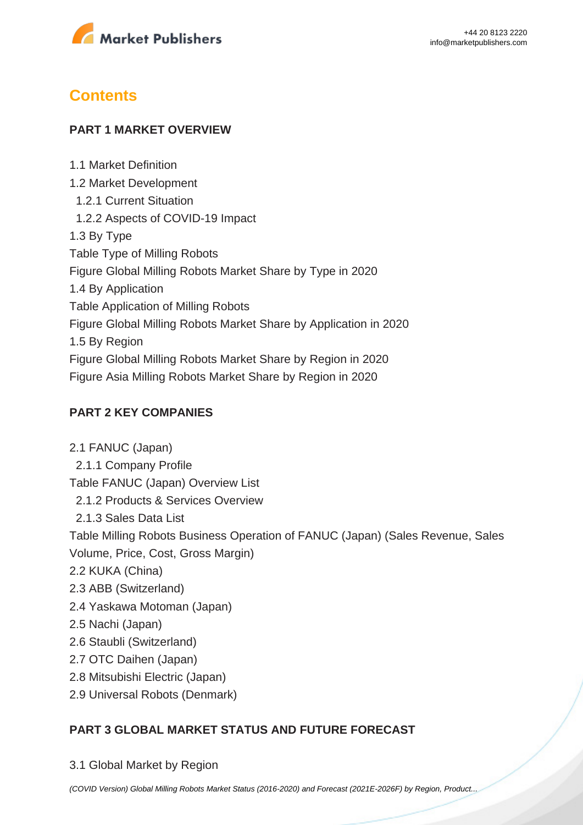

# **Contents**

#### **PART 1 MARKET OVERVIEW**

1.1 Market Definition 1.2 Market Development 1.2.1 Current Situation 1.2.2 Aspects of COVID-19 Impact 1.3 By Type Table Type of Milling Robots Figure Global Milling Robots Market Share by Type in 2020 1.4 By Application Table Application of Milling Robots Figure Global Milling Robots Market Share by Application in 2020 1.5 By Region Figure Global Milling Robots Market Share by Region in 2020 Figure Asia Milling Robots Market Share by Region in 2020

#### **PART 2 KEY COMPANIES**

2.1 FANUC (Japan) 2.1.1 Company Profile Table FANUC (Japan) Overview List 2.1.2 Products & Services Overview 2.1.3 Sales Data List Table Milling Robots Business Operation of FANUC (Japan) (Sales Revenue, Sales Volume, Price, Cost, Gross Margin) 2.2 KUKA (China) 2.3 ABB (Switzerland) 2.4 Yaskawa Motoman (Japan) 2.5 Nachi (Japan) 2.6 Staubli (Switzerland) 2.7 OTC Daihen (Japan) 2.8 Mitsubishi Electric (Japan) 2.9 Universal Robots (Denmark)

## **PART 3 GLOBAL MARKET STATUS AND FUTURE FORECAST**

3.1 Global Market by Region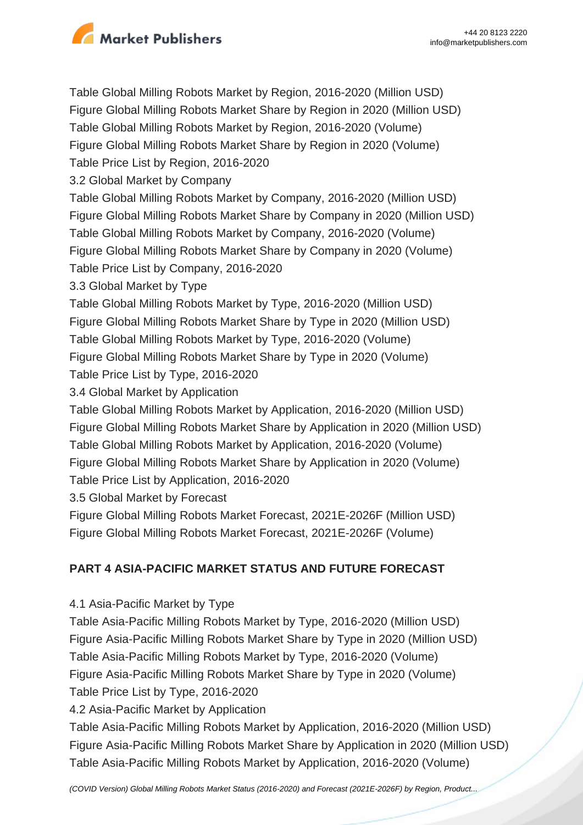

Table Global Milling Robots Market by Region, 2016-2020 (Million USD) Figure Global Milling Robots Market Share by Region in 2020 (Million USD) Table Global Milling Robots Market by Region, 2016-2020 (Volume) Figure Global Milling Robots Market Share by Region in 2020 (Volume) Table Price List by Region, 2016-2020 3.2 Global Market by Company Table Global Milling Robots Market by Company, 2016-2020 (Million USD) Figure Global Milling Robots Market Share by Company in 2020 (Million USD) Table Global Milling Robots Market by Company, 2016-2020 (Volume) Figure Global Milling Robots Market Share by Company in 2020 (Volume) Table Price List by Company, 2016-2020 3.3 Global Market by Type Table Global Milling Robots Market by Type, 2016-2020 (Million USD) Figure Global Milling Robots Market Share by Type in 2020 (Million USD) Table Global Milling Robots Market by Type, 2016-2020 (Volume) Figure Global Milling Robots Market Share by Type in 2020 (Volume) Table Price List by Type, 2016-2020 3.4 Global Market by Application Table Global Milling Robots Market by Application, 2016-2020 (Million USD) Figure Global Milling Robots Market Share by Application in 2020 (Million USD) Table Global Milling Robots Market by Application, 2016-2020 (Volume) Figure Global Milling Robots Market Share by Application in 2020 (Volume) Table Price List by Application, 2016-2020 3.5 Global Market by Forecast Figure Global Milling Robots Market Forecast, 2021E-2026F (Million USD) Figure Global Milling Robots Market Forecast, 2021E-2026F (Volume)

## **PART 4 ASIA-PACIFIC MARKET STATUS AND FUTURE FORECAST**

4.1 Asia-Pacific Market by Type

Table Asia-Pacific Milling Robots Market by Type, 2016-2020 (Million USD) Figure Asia-Pacific Milling Robots Market Share by Type in 2020 (Million USD) Table Asia-Pacific Milling Robots Market by Type, 2016-2020 (Volume) Figure Asia-Pacific Milling Robots Market Share by Type in 2020 (Volume) Table Price List by Type, 2016-2020

4.2 Asia-Pacific Market by Application

Table Asia-Pacific Milling Robots Market by Application, 2016-2020 (Million USD) Figure Asia-Pacific Milling Robots Market Share by Application in 2020 (Million USD) Table Asia-Pacific Milling Robots Market by Application, 2016-2020 (Volume)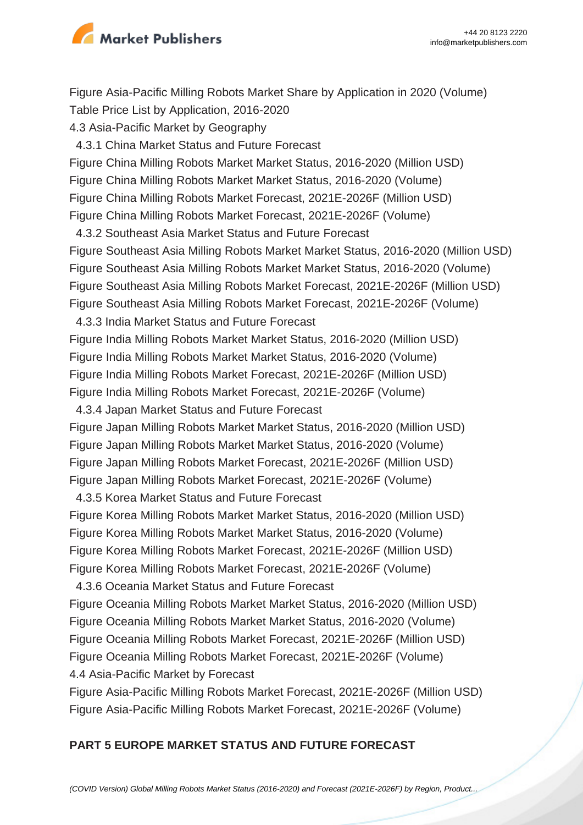

Figure Asia-Pacific Milling Robots Market Share by Application in 2020 (Volume) Table Price List by Application, 2016-2020 4.3 Asia-Pacific Market by Geography 4.3.1 China Market Status and Future Forecast Figure China Milling Robots Market Market Status, 2016-2020 (Million USD) Figure China Milling Robots Market Market Status, 2016-2020 (Volume) Figure China Milling Robots Market Forecast, 2021E-2026F (Million USD) Figure China Milling Robots Market Forecast, 2021E-2026F (Volume) 4.3.2 Southeast Asia Market Status and Future Forecast Figure Southeast Asia Milling Robots Market Market Status, 2016-2020 (Million USD) Figure Southeast Asia Milling Robots Market Market Status, 2016-2020 (Volume) Figure Southeast Asia Milling Robots Market Forecast, 2021E-2026F (Million USD) Figure Southeast Asia Milling Robots Market Forecast, 2021E-2026F (Volume) 4.3.3 India Market Status and Future Forecast Figure India Milling Robots Market Market Status, 2016-2020 (Million USD) Figure India Milling Robots Market Market Status, 2016-2020 (Volume) Figure India Milling Robots Market Forecast, 2021E-2026F (Million USD) Figure India Milling Robots Market Forecast, 2021E-2026F (Volume) 4.3.4 Japan Market Status and Future Forecast Figure Japan Milling Robots Market Market Status, 2016-2020 (Million USD) Figure Japan Milling Robots Market Market Status, 2016-2020 (Volume) Figure Japan Milling Robots Market Forecast, 2021E-2026F (Million USD) Figure Japan Milling Robots Market Forecast, 2021E-2026F (Volume) 4.3.5 Korea Market Status and Future Forecast Figure Korea Milling Robots Market Market Status, 2016-2020 (Million USD) Figure Korea Milling Robots Market Market Status, 2016-2020 (Volume) Figure Korea Milling Robots Market Forecast, 2021E-2026F (Million USD) Figure Korea Milling Robots Market Forecast, 2021E-2026F (Volume) 4.3.6 Oceania Market Status and Future Forecast Figure Oceania Milling Robots Market Market Status, 2016-2020 (Million USD) Figure Oceania Milling Robots Market Market Status, 2016-2020 (Volume) Figure Oceania Milling Robots Market Forecast, 2021E-2026F (Million USD) Figure Oceania Milling Robots Market Forecast, 2021E-2026F (Volume) 4.4 Asia-Pacific Market by Forecast

Figure Asia-Pacific Milling Robots Market Forecast, 2021E-2026F (Million USD) Figure Asia-Pacific Milling Robots Market Forecast, 2021E-2026F (Volume)

#### **PART 5 EUROPE MARKET STATUS AND FUTURE FORECAST**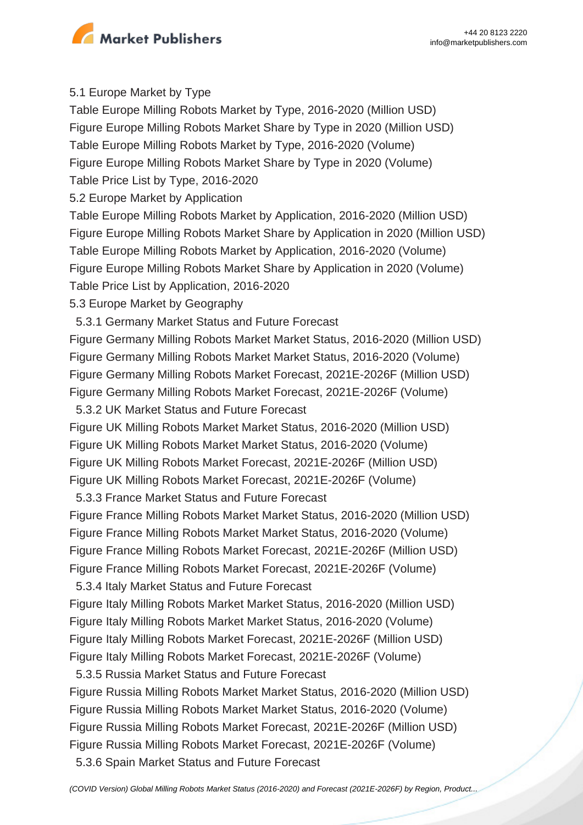

#### 5.1 Europe Market by Type

Table Europe Milling Robots Market by Type, 2016-2020 (Million USD) Figure Europe Milling Robots Market Share by Type in 2020 (Million USD) Table Europe Milling Robots Market by Type, 2016-2020 (Volume) Figure Europe Milling Robots Market Share by Type in 2020 (Volume) Table Price List by Type, 2016-2020 5.2 Europe Market by Application Table Europe Milling Robots Market by Application, 2016-2020 (Million USD) Figure Europe Milling Robots Market Share by Application in 2020 (Million USD) Table Europe Milling Robots Market by Application, 2016-2020 (Volume) Figure Europe Milling Robots Market Share by Application in 2020 (Volume) Table Price List by Application, 2016-2020 5.3 Europe Market by Geography 5.3.1 Germany Market Status and Future Forecast Figure Germany Milling Robots Market Market Status, 2016-2020 (Million USD) Figure Germany Milling Robots Market Market Status, 2016-2020 (Volume) Figure Germany Milling Robots Market Forecast, 2021E-2026F (Million USD) Figure Germany Milling Robots Market Forecast, 2021E-2026F (Volume) 5.3.2 UK Market Status and Future Forecast Figure UK Milling Robots Market Market Status, 2016-2020 (Million USD) Figure UK Milling Robots Market Market Status, 2016-2020 (Volume) Figure UK Milling Robots Market Forecast, 2021E-2026F (Million USD) Figure UK Milling Robots Market Forecast, 2021E-2026F (Volume) 5.3.3 France Market Status and Future Forecast Figure France Milling Robots Market Market Status, 2016-2020 (Million USD) Figure France Milling Robots Market Market Status, 2016-2020 (Volume) Figure France Milling Robots Market Forecast, 2021E-2026F (Million USD) Figure France Milling Robots Market Forecast, 2021E-2026F (Volume) 5.3.4 Italy Market Status and Future Forecast Figure Italy Milling Robots Market Market Status, 2016-2020 (Million USD) Figure Italy Milling Robots Market Market Status, 2016-2020 (Volume) Figure Italy Milling Robots Market Forecast, 2021E-2026F (Million USD) Figure Italy Milling Robots Market Forecast, 2021E-2026F (Volume) 5.3.5 Russia Market Status and Future Forecast Figure Russia Milling Robots Market Market Status, 2016-2020 (Million USD) Figure Russia Milling Robots Market Market Status, 2016-2020 (Volume) Figure Russia Milling Robots Market Forecast, 2021E-2026F (Million USD) Figure Russia Milling Robots Market Forecast, 2021E-2026F (Volume)

5.3.6 Spain Market Status and Future Forecast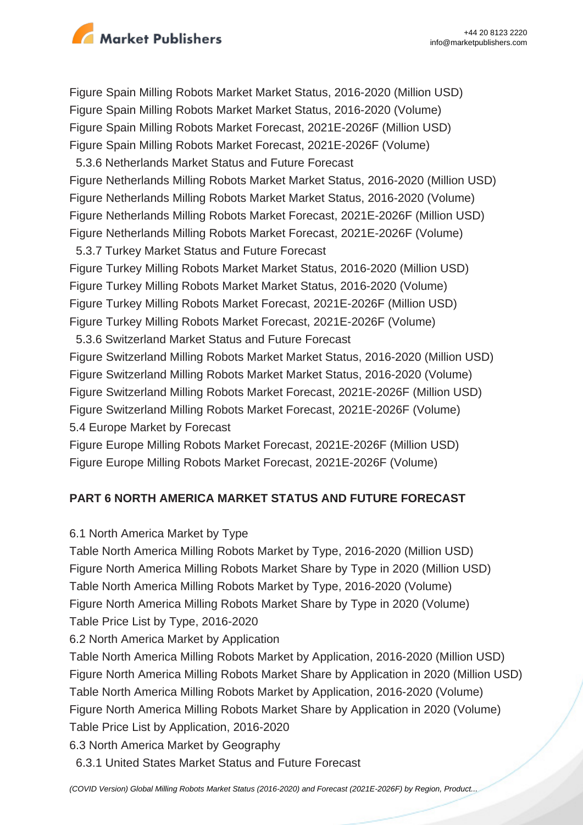

Figure Spain Milling Robots Market Market Status, 2016-2020 (Million USD) Figure Spain Milling Robots Market Market Status, 2016-2020 (Volume) Figure Spain Milling Robots Market Forecast, 2021E-2026F (Million USD) Figure Spain Milling Robots Market Forecast, 2021E-2026F (Volume) 5.3.6 Netherlands Market Status and Future Forecast Figure Netherlands Milling Robots Market Market Status, 2016-2020 (Million USD) Figure Netherlands Milling Robots Market Market Status, 2016-2020 (Volume) Figure Netherlands Milling Robots Market Forecast, 2021E-2026F (Million USD) Figure Netherlands Milling Robots Market Forecast, 2021E-2026F (Volume) 5.3.7 Turkey Market Status and Future Forecast Figure Turkey Milling Robots Market Market Status, 2016-2020 (Million USD) Figure Turkey Milling Robots Market Market Status, 2016-2020 (Volume) Figure Turkey Milling Robots Market Forecast, 2021E-2026F (Million USD) Figure Turkey Milling Robots Market Forecast, 2021E-2026F (Volume) 5.3.6 Switzerland Market Status and Future Forecast Figure Switzerland Milling Robots Market Market Status, 2016-2020 (Million USD) Figure Switzerland Milling Robots Market Market Status, 2016-2020 (Volume) Figure Switzerland Milling Robots Market Forecast, 2021E-2026F (Million USD) Figure Switzerland Milling Robots Market Forecast, 2021E-2026F (Volume) 5.4 Europe Market by Forecast

Figure Europe Milling Robots Market Forecast, 2021E-2026F (Million USD) Figure Europe Milling Robots Market Forecast, 2021E-2026F (Volume)

## **PART 6 NORTH AMERICA MARKET STATUS AND FUTURE FORECAST**

## 6.1 North America Market by Type

Table North America Milling Robots Market by Type, 2016-2020 (Million USD) Figure North America Milling Robots Market Share by Type in 2020 (Million USD) Table North America Milling Robots Market by Type, 2016-2020 (Volume) Figure North America Milling Robots Market Share by Type in 2020 (Volume) Table Price List by Type, 2016-2020

6.2 North America Market by Application

Table North America Milling Robots Market by Application, 2016-2020 (Million USD) Figure North America Milling Robots Market Share by Application in 2020 (Million USD) Table North America Milling Robots Market by Application, 2016-2020 (Volume) Figure North America Milling Robots Market Share by Application in 2020 (Volume) Table Price List by Application, 2016-2020

6.3 North America Market by Geography

6.3.1 United States Market Status and Future Forecast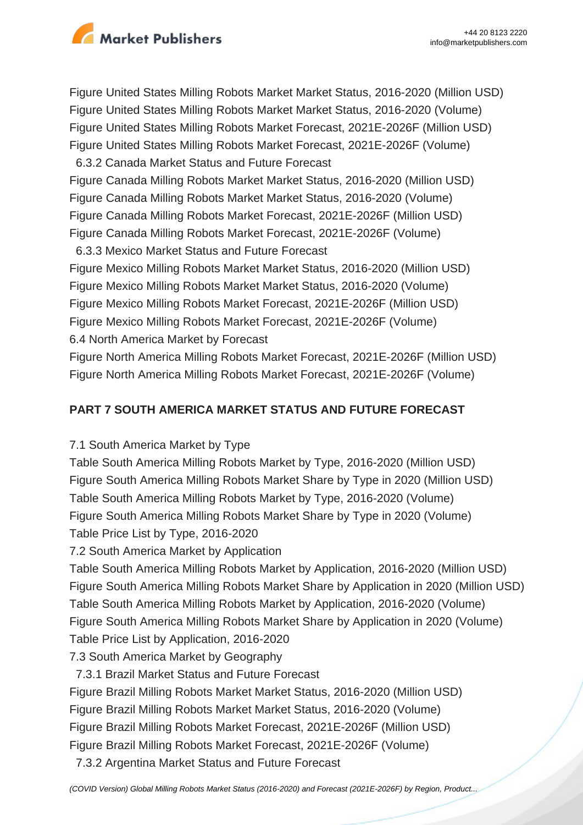

Figure United States Milling Robots Market Market Status, 2016-2020 (Million USD) Figure United States Milling Robots Market Market Status, 2016-2020 (Volume) Figure United States Milling Robots Market Forecast, 2021E-2026F (Million USD) Figure United States Milling Robots Market Forecast, 2021E-2026F (Volume) 6.3.2 Canada Market Status and Future Forecast Figure Canada Milling Robots Market Market Status, 2016-2020 (Million USD) Figure Canada Milling Robots Market Market Status, 2016-2020 (Volume) Figure Canada Milling Robots Market Forecast, 2021E-2026F (Million USD) Figure Canada Milling Robots Market Forecast, 2021E-2026F (Volume) 6.3.3 Mexico Market Status and Future Forecast

Figure Mexico Milling Robots Market Market Status, 2016-2020 (Million USD) Figure Mexico Milling Robots Market Market Status, 2016-2020 (Volume) Figure Mexico Milling Robots Market Forecast, 2021E-2026F (Million USD) Figure Mexico Milling Robots Market Forecast, 2021E-2026F (Volume) 6.4 North America Market by Forecast

Figure North America Milling Robots Market Forecast, 2021E-2026F (Million USD) Figure North America Milling Robots Market Forecast, 2021E-2026F (Volume)

#### **PART 7 SOUTH AMERICA MARKET STATUS AND FUTURE FORECAST**

7.1 South America Market by Type

Table South America Milling Robots Market by Type, 2016-2020 (Million USD) Figure South America Milling Robots Market Share by Type in 2020 (Million USD) Table South America Milling Robots Market by Type, 2016-2020 (Volume) Figure South America Milling Robots Market Share by Type in 2020 (Volume) Table Price List by Type, 2016-2020

7.2 South America Market by Application

Table South America Milling Robots Market by Application, 2016-2020 (Million USD) Figure South America Milling Robots Market Share by Application in 2020 (Million USD) Table South America Milling Robots Market by Application, 2016-2020 (Volume) Figure South America Milling Robots Market Share by Application in 2020 (Volume) Table Price List by Application, 2016-2020

7.3 South America Market by Geography

7.3.1 Brazil Market Status and Future Forecast

Figure Brazil Milling Robots Market Market Status, 2016-2020 (Million USD)

Figure Brazil Milling Robots Market Market Status, 2016-2020 (Volume)

Figure Brazil Milling Robots Market Forecast, 2021E-2026F (Million USD)

Figure Brazil Milling Robots Market Forecast, 2021E-2026F (Volume)

7.3.2 Argentina Market Status and Future Forecast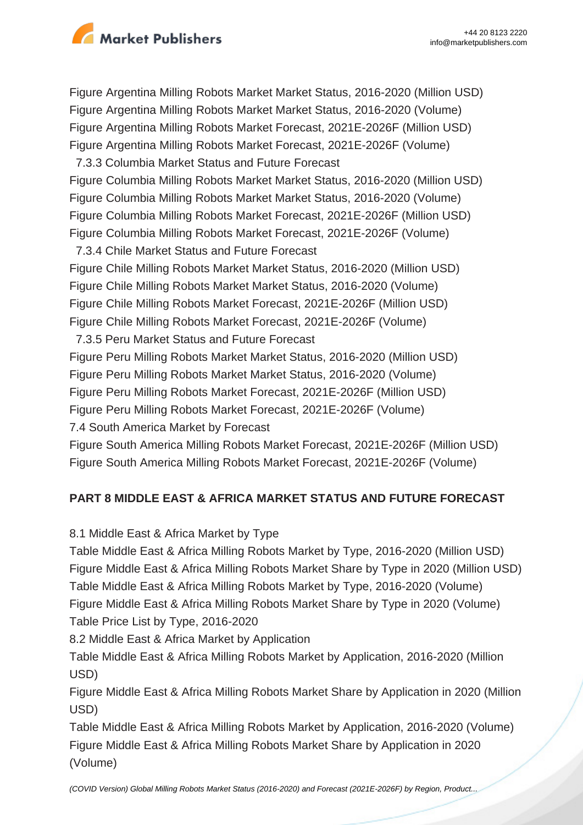

Figure Argentina Milling Robots Market Market Status, 2016-2020 (Million USD) Figure Argentina Milling Robots Market Market Status, 2016-2020 (Volume) Figure Argentina Milling Robots Market Forecast, 2021E-2026F (Million USD) Figure Argentina Milling Robots Market Forecast, 2021E-2026F (Volume) 7.3.3 Columbia Market Status and Future Forecast Figure Columbia Milling Robots Market Market Status, 2016-2020 (Million USD) Figure Columbia Milling Robots Market Market Status, 2016-2020 (Volume) Figure Columbia Milling Robots Market Forecast, 2021E-2026F (Million USD) Figure Columbia Milling Robots Market Forecast, 2021E-2026F (Volume) 7.3.4 Chile Market Status and Future Forecast Figure Chile Milling Robots Market Market Status, 2016-2020 (Million USD) Figure Chile Milling Robots Market Market Status, 2016-2020 (Volume) Figure Chile Milling Robots Market Forecast, 2021E-2026F (Million USD) Figure Chile Milling Robots Market Forecast, 2021E-2026F (Volume) 7.3.5 Peru Market Status and Future Forecast Figure Peru Milling Robots Market Market Status, 2016-2020 (Million USD) Figure Peru Milling Robots Market Market Status, 2016-2020 (Volume) Figure Peru Milling Robots Market Forecast, 2021E-2026F (Million USD) Figure Peru Milling Robots Market Forecast, 2021E-2026F (Volume) 7.4 South America Market by Forecast

Figure South America Milling Robots Market Forecast, 2021E-2026F (Million USD) Figure South America Milling Robots Market Forecast, 2021E-2026F (Volume)

## **PART 8 MIDDLE EAST & AFRICA MARKET STATUS AND FUTURE FORECAST**

8.1 Middle East & Africa Market by Type

Table Middle East & Africa Milling Robots Market by Type, 2016-2020 (Million USD) Figure Middle East & Africa Milling Robots Market Share by Type in 2020 (Million USD) Table Middle East & Africa Milling Robots Market by Type, 2016-2020 (Volume) Figure Middle East & Africa Milling Robots Market Share by Type in 2020 (Volume) Table Price List by Type, 2016-2020

8.2 Middle East & Africa Market by Application

Table Middle East & Africa Milling Robots Market by Application, 2016-2020 (Million USD)

Figure Middle East & Africa Milling Robots Market Share by Application in 2020 (Million USD)

Table Middle East & Africa Milling Robots Market by Application, 2016-2020 (Volume) Figure Middle East & Africa Milling Robots Market Share by Application in 2020 (Volume)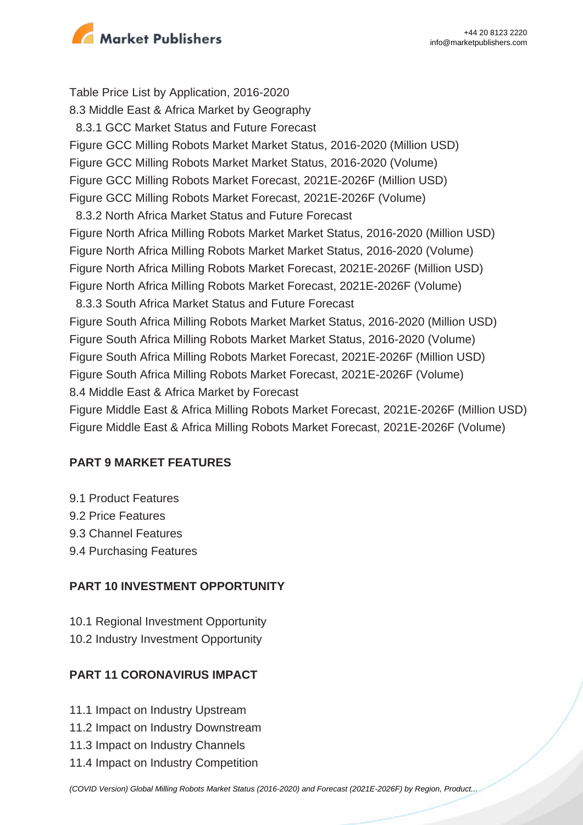

Table Price List by Application, 2016-2020 8.3 Middle East & Africa Market by Geography 8.3.1 GCC Market Status and Future Forecast Figure GCC Milling Robots Market Market Status, 2016-2020 (Million USD) Figure GCC Milling Robots Market Market Status, 2016-2020 (Volume) Figure GCC Milling Robots Market Forecast, 2021E-2026F (Million USD) Figure GCC Milling Robots Market Forecast, 2021E-2026F (Volume) 8.3.2 North Africa Market Status and Future Forecast Figure North Africa Milling Robots Market Market Status, 2016-2020 (Million USD) Figure North Africa Milling Robots Market Market Status, 2016-2020 (Volume) Figure North Africa Milling Robots Market Forecast, 2021E-2026F (Million USD) Figure North Africa Milling Robots Market Forecast, 2021E-2026F (Volume) 8.3.3 South Africa Market Status and Future Forecast Figure South Africa Milling Robots Market Market Status, 2016-2020 (Million USD) Figure South Africa Milling Robots Market Market Status, 2016-2020 (Volume) Figure South Africa Milling Robots Market Forecast, 2021E-2026F (Million USD) Figure South Africa Milling Robots Market Forecast, 2021E-2026F (Volume) 8.4 Middle East & Africa Market by Forecast Figure Middle East & Africa Milling Robots Market Forecast, 2021E-2026F (Million USD)

Figure Middle East & Africa Milling Robots Market Forecast, 2021E-2026F (Volume)

## **PART 9 MARKET FEATURES**

- 9.1 Product Features
- 9.2 Price Features
- 9.3 Channel Features
- 9.4 Purchasing Features

## **PART 10 INVESTMENT OPPORTUNITY**

10.1 Regional Investment Opportunity

10.2 Industry Investment Opportunity

## **PART 11 CORONAVIRUS IMPACT**

- 11.1 Impact on Industry Upstream
- 11.2 Impact on Industry Downstream
- 11.3 Impact on Industry Channels
- 11.4 Impact on Industry Competition

[\(COVID Version\) Global Milling Robots Market Status \(2016-2020\) and Forecast \(2021E-2026F\) by Region, Product...](https://marketpublishers.com/report/industry/other_industries/covid-version-global-milling-robots-market-status-2016-2020-n-forecast-2021e-2026f-by-region-product-type-end-use.html)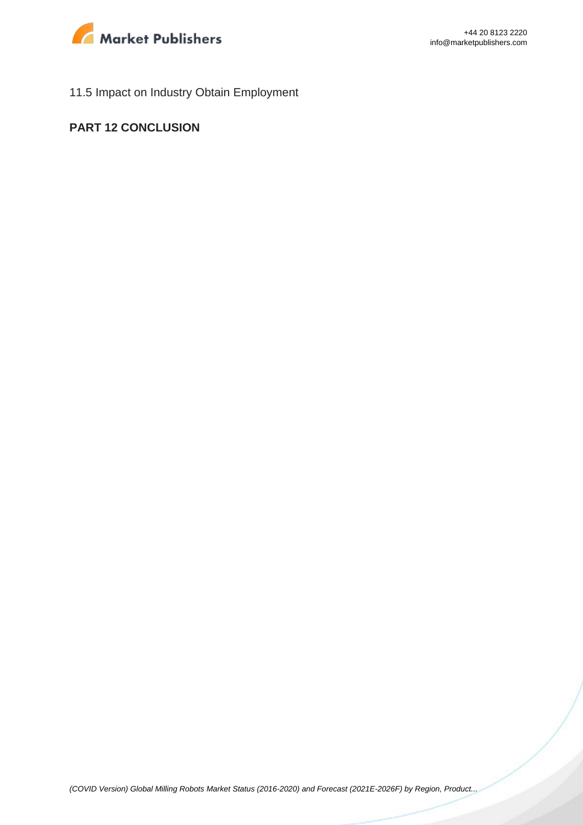

11.5 Impact on Industry Obtain Employment

#### **PART 12 CONCLUSION**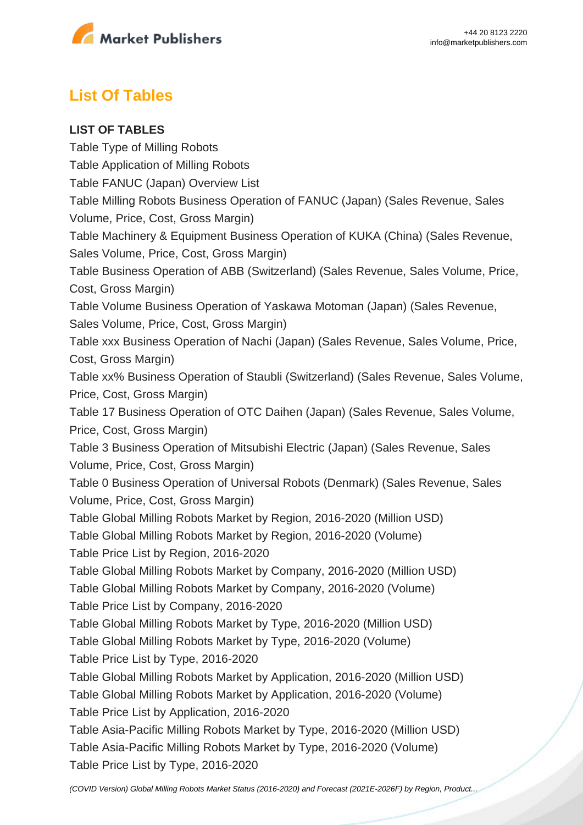

# **List Of Tables**

#### **LIST OF TABLES**

Table Type of Milling Robots Table Application of Milling Robots Table FANUC (Japan) Overview List Table Milling Robots Business Operation of FANUC (Japan) (Sales Revenue, Sales Volume, Price, Cost, Gross Margin) Table Machinery & Equipment Business Operation of KUKA (China) (Sales Revenue, Sales Volume, Price, Cost, Gross Margin) Table Business Operation of ABB (Switzerland) (Sales Revenue, Sales Volume, Price, Cost, Gross Margin) Table Volume Business Operation of Yaskawa Motoman (Japan) (Sales Revenue, Sales Volume, Price, Cost, Gross Margin) Table xxx Business Operation of Nachi (Japan) (Sales Revenue, Sales Volume, Price, Cost, Gross Margin) Table xx% Business Operation of Staubli (Switzerland) (Sales Revenue, Sales Volume, Price, Cost, Gross Margin) Table 17 Business Operation of OTC Daihen (Japan) (Sales Revenue, Sales Volume, Price, Cost, Gross Margin) Table 3 Business Operation of Mitsubishi Electric (Japan) (Sales Revenue, Sales Volume, Price, Cost, Gross Margin) Table 0 Business Operation of Universal Robots (Denmark) (Sales Revenue, Sales Volume, Price, Cost, Gross Margin) Table Global Milling Robots Market by Region, 2016-2020 (Million USD) Table Global Milling Robots Market by Region, 2016-2020 (Volume) Table Price List by Region, 2016-2020 Table Global Milling Robots Market by Company, 2016-2020 (Million USD) Table Global Milling Robots Market by Company, 2016-2020 (Volume) Table Price List by Company, 2016-2020 Table Global Milling Robots Market by Type, 2016-2020 (Million USD) Table Global Milling Robots Market by Type, 2016-2020 (Volume) Table Price List by Type, 2016-2020 Table Global Milling Robots Market by Application, 2016-2020 (Million USD) Table Global Milling Robots Market by Application, 2016-2020 (Volume) Table Price List by Application, 2016-2020 Table Asia-Pacific Milling Robots Market by Type, 2016-2020 (Million USD) Table Asia-Pacific Milling Robots Market by Type, 2016-2020 (Volume) Table Price List by Type, 2016-2020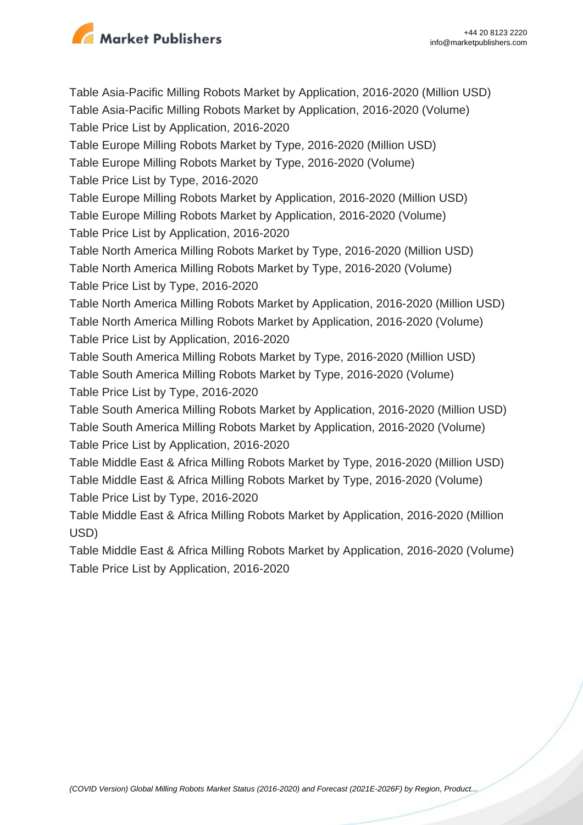

Table Asia-Pacific Milling Robots Market by Application, 2016-2020 (Million USD) Table Asia-Pacific Milling Robots Market by Application, 2016-2020 (Volume) Table Price List by Application, 2016-2020 Table Europe Milling Robots Market by Type, 2016-2020 (Million USD) Table Europe Milling Robots Market by Type, 2016-2020 (Volume) Table Price List by Type, 2016-2020 Table Europe Milling Robots Market by Application, 2016-2020 (Million USD) Table Europe Milling Robots Market by Application, 2016-2020 (Volume) Table Price List by Application, 2016-2020 Table North America Milling Robots Market by Type, 2016-2020 (Million USD) Table North America Milling Robots Market by Type, 2016-2020 (Volume) Table Price List by Type, 2016-2020 Table North America Milling Robots Market by Application, 2016-2020 (Million USD) Table North America Milling Robots Market by Application, 2016-2020 (Volume) Table Price List by Application, 2016-2020 Table South America Milling Robots Market by Type, 2016-2020 (Million USD) Table South America Milling Robots Market by Type, 2016-2020 (Volume) Table Price List by Type, 2016-2020 Table South America Milling Robots Market by Application, 2016-2020 (Million USD) Table South America Milling Robots Market by Application, 2016-2020 (Volume) Table Price List by Application, 2016-2020 Table Middle East & Africa Milling Robots Market by Type, 2016-2020 (Million USD) Table Middle East & Africa Milling Robots Market by Type, 2016-2020 (Volume) Table Price List by Type, 2016-2020 Table Middle East & Africa Milling Robots Market by Application, 2016-2020 (Million USD) Table Middle East & Africa Milling Robots Market by Application, 2016-2020 (Volume)

Table Price List by Application, 2016-2020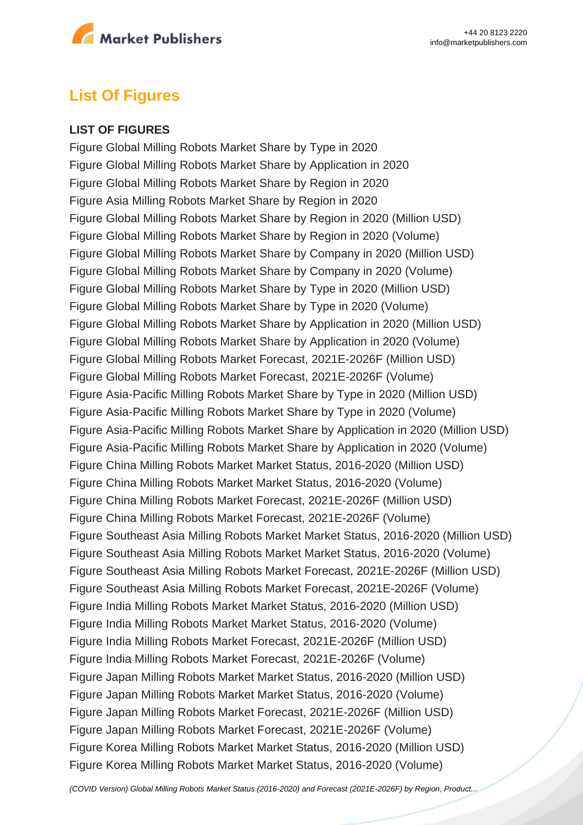

# **List Of Figures**

#### **LIST OF FIGURES**

Figure Global Milling Robots Market Share by Type in 2020 Figure Global Milling Robots Market Share by Application in 2020 Figure Global Milling Robots Market Share by Region in 2020 Figure Asia Milling Robots Market Share by Region in 2020 Figure Global Milling Robots Market Share by Region in 2020 (Million USD) Figure Global Milling Robots Market Share by Region in 2020 (Volume) Figure Global Milling Robots Market Share by Company in 2020 (Million USD) Figure Global Milling Robots Market Share by Company in 2020 (Volume) Figure Global Milling Robots Market Share by Type in 2020 (Million USD) Figure Global Milling Robots Market Share by Type in 2020 (Volume) Figure Global Milling Robots Market Share by Application in 2020 (Million USD) Figure Global Milling Robots Market Share by Application in 2020 (Volume) Figure Global Milling Robots Market Forecast, 2021E-2026F (Million USD) Figure Global Milling Robots Market Forecast, 2021E-2026F (Volume) Figure Asia-Pacific Milling Robots Market Share by Type in 2020 (Million USD) Figure Asia-Pacific Milling Robots Market Share by Type in 2020 (Volume) Figure Asia-Pacific Milling Robots Market Share by Application in 2020 (Million USD) Figure Asia-Pacific Milling Robots Market Share by Application in 2020 (Volume) Figure China Milling Robots Market Market Status, 2016-2020 (Million USD) Figure China Milling Robots Market Market Status, 2016-2020 (Volume) Figure China Milling Robots Market Forecast, 2021E-2026F (Million USD) Figure China Milling Robots Market Forecast, 2021E-2026F (Volume) Figure Southeast Asia Milling Robots Market Market Status, 2016-2020 (Million USD) Figure Southeast Asia Milling Robots Market Market Status, 2016-2020 (Volume) Figure Southeast Asia Milling Robots Market Forecast, 2021E-2026F (Million USD) Figure Southeast Asia Milling Robots Market Forecast, 2021E-2026F (Volume) Figure India Milling Robots Market Market Status, 2016-2020 (Million USD) Figure India Milling Robots Market Market Status, 2016-2020 (Volume) Figure India Milling Robots Market Forecast, 2021E-2026F (Million USD) Figure India Milling Robots Market Forecast, 2021E-2026F (Volume) Figure Japan Milling Robots Market Market Status, 2016-2020 (Million USD) Figure Japan Milling Robots Market Market Status, 2016-2020 (Volume) Figure Japan Milling Robots Market Forecast, 2021E-2026F (Million USD) Figure Japan Milling Robots Market Forecast, 2021E-2026F (Volume) Figure Korea Milling Robots Market Market Status, 2016-2020 (Million USD) Figure Korea Milling Robots Market Market Status, 2016-2020 (Volume)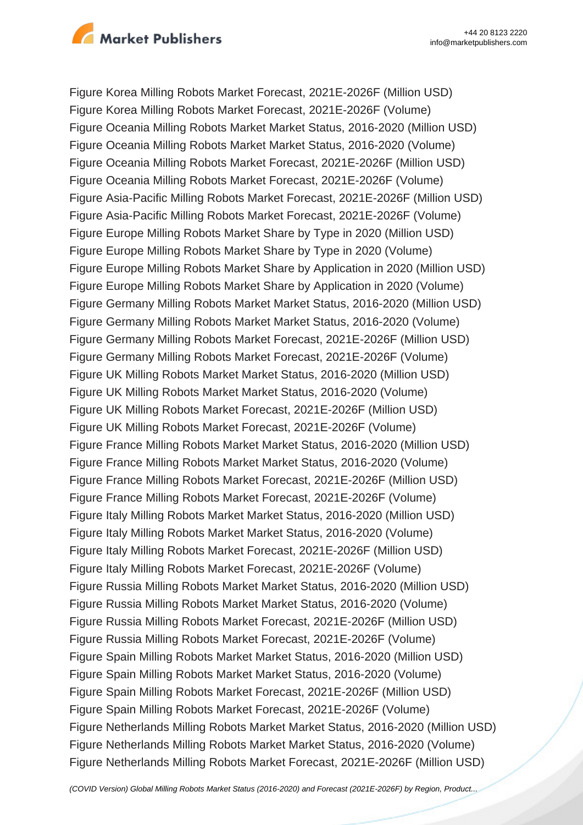

Figure Korea Milling Robots Market Forecast, 2021E-2026F (Million USD) Figure Korea Milling Robots Market Forecast, 2021E-2026F (Volume) Figure Oceania Milling Robots Market Market Status, 2016-2020 (Million USD) Figure Oceania Milling Robots Market Market Status, 2016-2020 (Volume) Figure Oceania Milling Robots Market Forecast, 2021E-2026F (Million USD) Figure Oceania Milling Robots Market Forecast, 2021E-2026F (Volume) Figure Asia-Pacific Milling Robots Market Forecast, 2021E-2026F (Million USD) Figure Asia-Pacific Milling Robots Market Forecast, 2021E-2026F (Volume) Figure Europe Milling Robots Market Share by Type in 2020 (Million USD) Figure Europe Milling Robots Market Share by Type in 2020 (Volume) Figure Europe Milling Robots Market Share by Application in 2020 (Million USD) Figure Europe Milling Robots Market Share by Application in 2020 (Volume) Figure Germany Milling Robots Market Market Status, 2016-2020 (Million USD) Figure Germany Milling Robots Market Market Status, 2016-2020 (Volume) Figure Germany Milling Robots Market Forecast, 2021E-2026F (Million USD) Figure Germany Milling Robots Market Forecast, 2021E-2026F (Volume) Figure UK Milling Robots Market Market Status, 2016-2020 (Million USD) Figure UK Milling Robots Market Market Status, 2016-2020 (Volume) Figure UK Milling Robots Market Forecast, 2021E-2026F (Million USD) Figure UK Milling Robots Market Forecast, 2021E-2026F (Volume) Figure France Milling Robots Market Market Status, 2016-2020 (Million USD) Figure France Milling Robots Market Market Status, 2016-2020 (Volume) Figure France Milling Robots Market Forecast, 2021E-2026F (Million USD) Figure France Milling Robots Market Forecast, 2021E-2026F (Volume) Figure Italy Milling Robots Market Market Status, 2016-2020 (Million USD) Figure Italy Milling Robots Market Market Status, 2016-2020 (Volume) Figure Italy Milling Robots Market Forecast, 2021E-2026F (Million USD) Figure Italy Milling Robots Market Forecast, 2021E-2026F (Volume) Figure Russia Milling Robots Market Market Status, 2016-2020 (Million USD) Figure Russia Milling Robots Market Market Status, 2016-2020 (Volume) Figure Russia Milling Robots Market Forecast, 2021E-2026F (Million USD) Figure Russia Milling Robots Market Forecast, 2021E-2026F (Volume) Figure Spain Milling Robots Market Market Status, 2016-2020 (Million USD) Figure Spain Milling Robots Market Market Status, 2016-2020 (Volume) Figure Spain Milling Robots Market Forecast, 2021E-2026F (Million USD) Figure Spain Milling Robots Market Forecast, 2021E-2026F (Volume) Figure Netherlands Milling Robots Market Market Status, 2016-2020 (Million USD) Figure Netherlands Milling Robots Market Market Status, 2016-2020 (Volume) Figure Netherlands Milling Robots Market Forecast, 2021E-2026F (Million USD)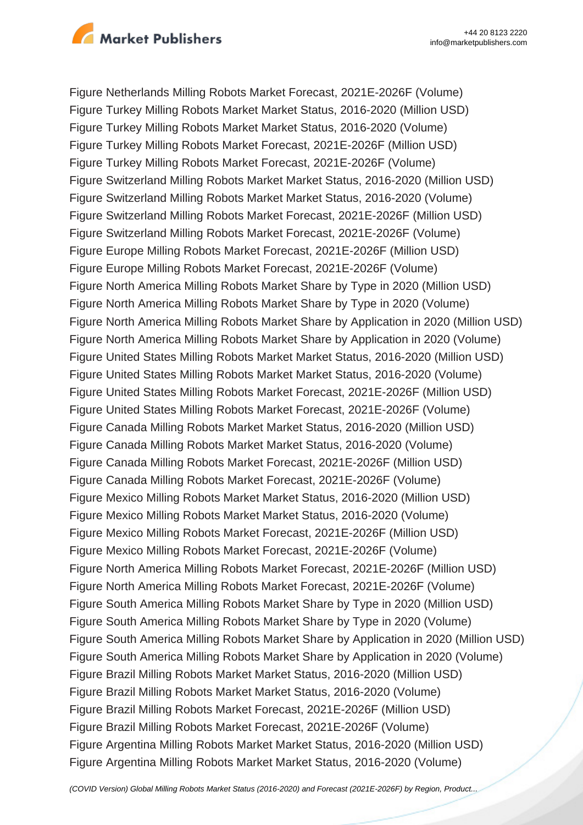

Figure Netherlands Milling Robots Market Forecast, 2021E-2026F (Volume) Figure Turkey Milling Robots Market Market Status, 2016-2020 (Million USD) Figure Turkey Milling Robots Market Market Status, 2016-2020 (Volume) Figure Turkey Milling Robots Market Forecast, 2021E-2026F (Million USD) Figure Turkey Milling Robots Market Forecast, 2021E-2026F (Volume) Figure Switzerland Milling Robots Market Market Status, 2016-2020 (Million USD) Figure Switzerland Milling Robots Market Market Status, 2016-2020 (Volume) Figure Switzerland Milling Robots Market Forecast, 2021E-2026F (Million USD) Figure Switzerland Milling Robots Market Forecast, 2021E-2026F (Volume) Figure Europe Milling Robots Market Forecast, 2021E-2026F (Million USD) Figure Europe Milling Robots Market Forecast, 2021E-2026F (Volume) Figure North America Milling Robots Market Share by Type in 2020 (Million USD) Figure North America Milling Robots Market Share by Type in 2020 (Volume) Figure North America Milling Robots Market Share by Application in 2020 (Million USD) Figure North America Milling Robots Market Share by Application in 2020 (Volume) Figure United States Milling Robots Market Market Status, 2016-2020 (Million USD) Figure United States Milling Robots Market Market Status, 2016-2020 (Volume) Figure United States Milling Robots Market Forecast, 2021E-2026F (Million USD) Figure United States Milling Robots Market Forecast, 2021E-2026F (Volume) Figure Canada Milling Robots Market Market Status, 2016-2020 (Million USD) Figure Canada Milling Robots Market Market Status, 2016-2020 (Volume) Figure Canada Milling Robots Market Forecast, 2021E-2026F (Million USD) Figure Canada Milling Robots Market Forecast, 2021E-2026F (Volume) Figure Mexico Milling Robots Market Market Status, 2016-2020 (Million USD) Figure Mexico Milling Robots Market Market Status, 2016-2020 (Volume) Figure Mexico Milling Robots Market Forecast, 2021E-2026F (Million USD) Figure Mexico Milling Robots Market Forecast, 2021E-2026F (Volume) Figure North America Milling Robots Market Forecast, 2021E-2026F (Million USD) Figure North America Milling Robots Market Forecast, 2021E-2026F (Volume) Figure South America Milling Robots Market Share by Type in 2020 (Million USD) Figure South America Milling Robots Market Share by Type in 2020 (Volume) Figure South America Milling Robots Market Share by Application in 2020 (Million USD) Figure South America Milling Robots Market Share by Application in 2020 (Volume) Figure Brazil Milling Robots Market Market Status, 2016-2020 (Million USD) Figure Brazil Milling Robots Market Market Status, 2016-2020 (Volume) Figure Brazil Milling Robots Market Forecast, 2021E-2026F (Million USD) Figure Brazil Milling Robots Market Forecast, 2021E-2026F (Volume) Figure Argentina Milling Robots Market Market Status, 2016-2020 (Million USD) Figure Argentina Milling Robots Market Market Status, 2016-2020 (Volume)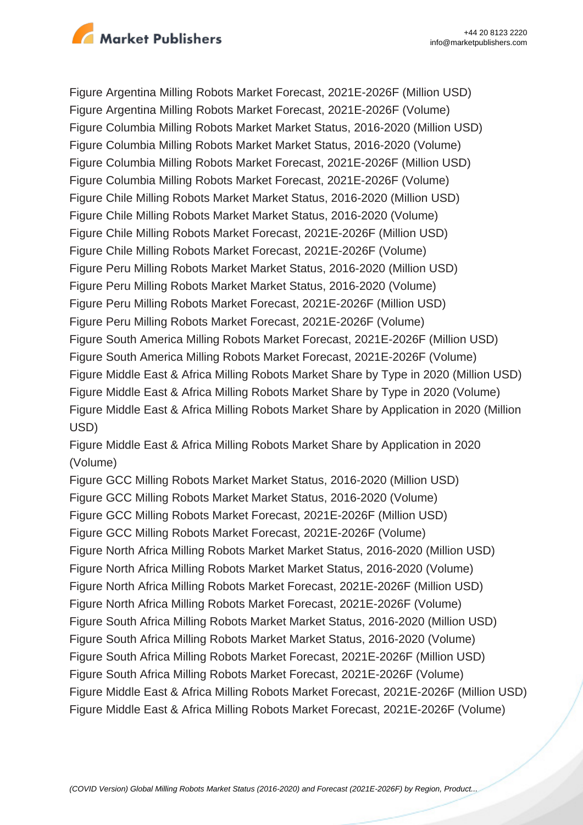

Figure Argentina Milling Robots Market Forecast, 2021E-2026F (Million USD) Figure Argentina Milling Robots Market Forecast, 2021E-2026F (Volume) Figure Columbia Milling Robots Market Market Status, 2016-2020 (Million USD) Figure Columbia Milling Robots Market Market Status, 2016-2020 (Volume) Figure Columbia Milling Robots Market Forecast, 2021E-2026F (Million USD) Figure Columbia Milling Robots Market Forecast, 2021E-2026F (Volume) Figure Chile Milling Robots Market Market Status, 2016-2020 (Million USD) Figure Chile Milling Robots Market Market Status, 2016-2020 (Volume) Figure Chile Milling Robots Market Forecast, 2021E-2026F (Million USD) Figure Chile Milling Robots Market Forecast, 2021E-2026F (Volume) Figure Peru Milling Robots Market Market Status, 2016-2020 (Million USD) Figure Peru Milling Robots Market Market Status, 2016-2020 (Volume) Figure Peru Milling Robots Market Forecast, 2021E-2026F (Million USD) Figure Peru Milling Robots Market Forecast, 2021E-2026F (Volume) Figure South America Milling Robots Market Forecast, 2021E-2026F (Million USD) Figure South America Milling Robots Market Forecast, 2021E-2026F (Volume) Figure Middle East & Africa Milling Robots Market Share by Type in 2020 (Million USD) Figure Middle East & Africa Milling Robots Market Share by Type in 2020 (Volume) Figure Middle East & Africa Milling Robots Market Share by Application in 2020 (Million USD)

Figure Middle East & Africa Milling Robots Market Share by Application in 2020 (Volume)

Figure GCC Milling Robots Market Market Status, 2016-2020 (Million USD) Figure GCC Milling Robots Market Market Status, 2016-2020 (Volume) Figure GCC Milling Robots Market Forecast, 2021E-2026F (Million USD) Figure GCC Milling Robots Market Forecast, 2021E-2026F (Volume) Figure North Africa Milling Robots Market Market Status, 2016-2020 (Million USD) Figure North Africa Milling Robots Market Market Status, 2016-2020 (Volume) Figure North Africa Milling Robots Market Forecast, 2021E-2026F (Million USD) Figure North Africa Milling Robots Market Forecast, 2021E-2026F (Volume) Figure South Africa Milling Robots Market Market Status, 2016-2020 (Million USD) Figure South Africa Milling Robots Market Market Status, 2016-2020 (Volume) Figure South Africa Milling Robots Market Forecast, 2021E-2026F (Million USD) Figure South Africa Milling Robots Market Forecast, 2021E-2026F (Volume) Figure Middle East & Africa Milling Robots Market Forecast, 2021E-2026F (Million USD) Figure Middle East & Africa Milling Robots Market Forecast, 2021E-2026F (Volume)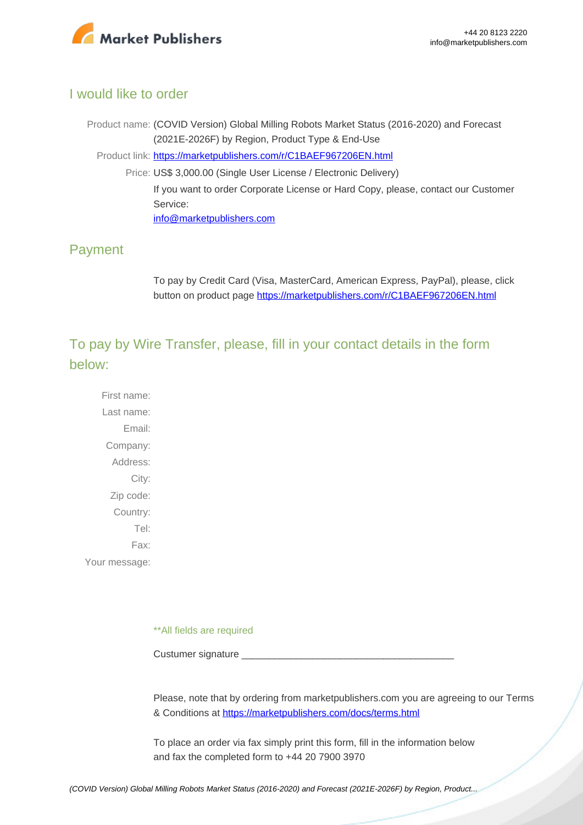

#### I would like to order

Product name: (COVID Version) Global Milling Robots Market Status (2016-2020) and Forecast (2021E-2026F) by Region, Product Type & End-Use Product link: [https://marketpublishers.com/r/C1BAEF967206EN.html](https://marketpublishers.com/report/industry/other_industries/covid-version-global-milling-robots-market-status-2016-2020-n-forecast-2021e-2026f-by-region-product-type-end-use.html) Price: US\$ 3,000.00 (Single User License / Electronic Delivery) If you want to order Corporate License or Hard Copy, please, contact our Customer Service: [info@marketpublishers.com](mailto:info@marketpublishers.com)

# Payment

To pay by Credit Card (Visa, MasterCard, American Express, PayPal), please, click button on product page [https://marketpublishers.com/r/C1BAEF967206EN.html](https://marketpublishers.com/report/industry/other_industries/covid-version-global-milling-robots-market-status-2016-2020-n-forecast-2021e-2026f-by-region-product-type-end-use.html)

To pay by Wire Transfer, please, fill in your contact details in the form below:

First name: Last name: Email: Company: Address: City: Zip code: Country: Tel: Fax: Your message:

\*\*All fields are required

Custumer signature

Please, note that by ordering from marketpublishers.com you are agreeing to our Terms & Conditions at<https://marketpublishers.com/docs/terms.html>

To place an order via fax simply print this form, fill in the information below and fax the completed form to +44 20 7900 3970